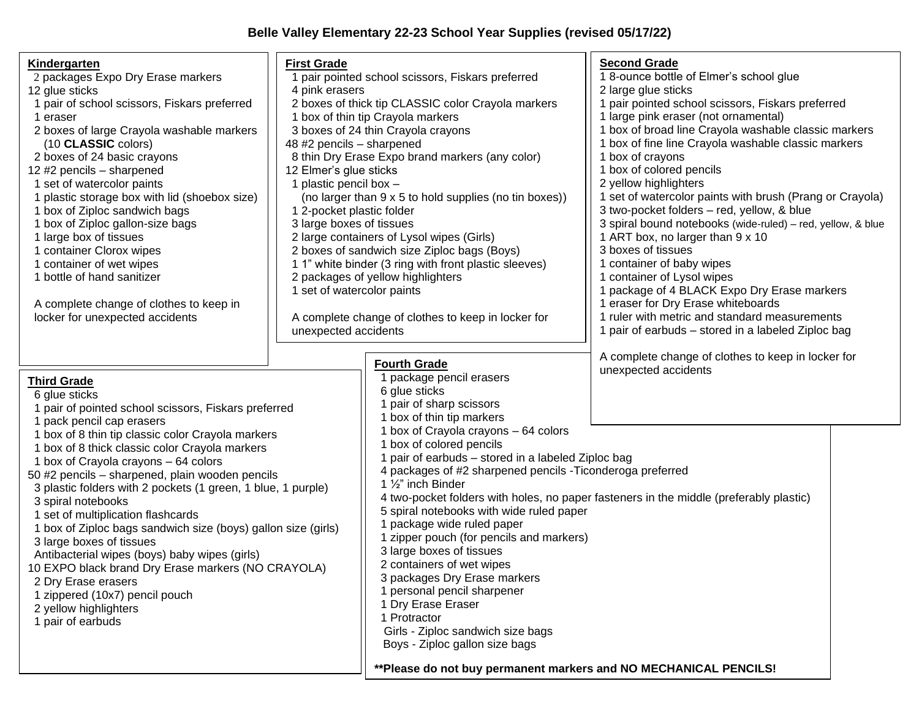## **Belle Valley Elementary 22-23 School Year Supplies (revised 05/17/22)**

| <u>Kindergarten</u><br>2 packages Expo Dry Erase markers<br>12 glue sticks<br>1 pair of school scissors, Fiskars preferred<br>1 eraser<br>2 boxes of large Crayola washable markers<br>(10 CLASSIC colors)<br>2 boxes of 24 basic crayons<br>12 #2 pencils - sharpened<br>1 set of watercolor paints<br>1 plastic storage box with lid (shoebox size)<br>1 box of Ziploc sandwich bags<br>1 box of Ziploc gallon-size bags<br>1 large box of tissues<br>1 container Clorox wipes<br>1 container of wet wipes<br>1 bottle of hand sanitizer<br>A complete change of clothes to keep in<br>locker for unexpected accidents                                                                                                                                          | <b>First Grade</b><br>1 pair pointed school scissors, Fiskars preferred<br>4 pink erasers<br>2 boxes of thick tip CLASSIC color Crayola markers<br>1 box of thin tip Crayola markers<br>3 boxes of 24 thin Crayola crayons<br>48 #2 pencils - sharpened<br>8 thin Dry Erase Expo brand markers (any color)<br>12 Elmer's glue sticks<br>1 plastic pencil box -<br>(no larger than 9 x 5 to hold supplies (no tin boxes))<br>1 2-pocket plastic folder<br>3 large boxes of tissues<br>2 large containers of Lysol wipes (Girls)<br>2 boxes of sandwich size Ziploc bags (Boys)<br>1 1" white binder (3 ring with front plastic sleeves)<br>2 packages of yellow highlighters<br>1 set of watercolor paints<br>A complete change of clothes to keep in locker for<br>unexpected accidents |                                                                                                                                                                                                                                                                                                                                                                                                                                                                                                                                                                                                                                                                                                                                                                            | <b>Second Grade</b><br>1 8-ounce bottle of Elmer's school glue<br>2 large glue sticks<br>1 pair pointed school scissors, Fiskars preferred<br>1 large pink eraser (not ornamental)<br>1 box of broad line Crayola washable classic markers<br>1 box of fine line Crayola washable classic markers<br>1 box of crayons<br>1 box of colored pencils<br>2 yellow highlighters<br>1 set of watercolor paints with brush (Prang or Crayola)<br>3 two-pocket folders - red, yellow, & blue<br>3 spiral bound notebooks (wide-ruled) - red, yellow, & blue<br>1 ART box, no larger than 9 x 10<br>3 boxes of tissues<br>1 container of baby wipes<br>1 container of Lysol wipes<br>1 package of 4 BLACK Expo Dry Erase markers<br>1 eraser for Dry Erase whiteboards<br>1 ruler with metric and standard measurements<br>1 pair of earbuds - stored in a labeled Ziploc bag |  |
|-------------------------------------------------------------------------------------------------------------------------------------------------------------------------------------------------------------------------------------------------------------------------------------------------------------------------------------------------------------------------------------------------------------------------------------------------------------------------------------------------------------------------------------------------------------------------------------------------------------------------------------------------------------------------------------------------------------------------------------------------------------------|-----------------------------------------------------------------------------------------------------------------------------------------------------------------------------------------------------------------------------------------------------------------------------------------------------------------------------------------------------------------------------------------------------------------------------------------------------------------------------------------------------------------------------------------------------------------------------------------------------------------------------------------------------------------------------------------------------------------------------------------------------------------------------------------|----------------------------------------------------------------------------------------------------------------------------------------------------------------------------------------------------------------------------------------------------------------------------------------------------------------------------------------------------------------------------------------------------------------------------------------------------------------------------------------------------------------------------------------------------------------------------------------------------------------------------------------------------------------------------------------------------------------------------------------------------------------------------|----------------------------------------------------------------------------------------------------------------------------------------------------------------------------------------------------------------------------------------------------------------------------------------------------------------------------------------------------------------------------------------------------------------------------------------------------------------------------------------------------------------------------------------------------------------------------------------------------------------------------------------------------------------------------------------------------------------------------------------------------------------------------------------------------------------------------------------------------------------------|--|
| <b>Third Grade</b><br>6 glue sticks<br>1 pair of pointed school scissors, Fiskars preferred<br>1 pack pencil cap erasers<br>1 box of 8 thin tip classic color Crayola markers<br>1 box of 8 thick classic color Crayola markers<br>1 box of Crayola crayons - 64 colors<br>50 #2 pencils - sharpened, plain wooden pencils<br>3 plastic folders with 2 pockets (1 green, 1 blue, 1 purple)<br>3 spiral notebooks<br>1 set of multiplication flashcards<br>1 box of Ziploc bags sandwich size (boys) gallon size (girls)<br>3 large boxes of tissues<br>Antibacterial wipes (boys) baby wipes (girls)<br>10 EXPO black brand Dry Erase markers (NO CRAYOLA)<br>2 Dry Erase erasers<br>1 zippered (10x7) pencil pouch<br>2 yellow highlighters<br>1 pair of earbuds |                                                                                                                                                                                                                                                                                                                                                                                                                                                                                                                                                                                                                                                                                                                                                                                         | <b>Fourth Grade</b><br>package pencil erasers<br>6 glue sticks<br>pair of sharp scissors<br>1 box of thin tip markers<br>1 box of Crayola crayons - 64 colors<br>1 box of colored pencils<br>pair of earbuds - stored in a labeled Ziploc bag<br>4 packages of #2 sharpened pencils - Ticonderoga preferred<br>1 $\frac{1}{2}$ " inch Binder<br>5 spiral notebooks with wide ruled paper<br>package wide ruled paper<br>1 zipper pouch (for pencils and markers)<br>3 large boxes of tissues<br>2 containers of wet wipes<br>3 packages Dry Erase markers<br>1 personal pencil sharpener<br>1 Dry Erase Eraser<br>1 Protractor<br>Girls - Ziploc sandwich size bags<br>Boys - Ziploc gallon size bags<br>** Please do not buy permanent markers and NO MECHANICAL PENCILS! | A complete change of clothes to keep in locker for<br>unexpected accidents<br>4 two-pocket folders with holes, no paper fasteners in the middle (preferably plastic)                                                                                                                                                                                                                                                                                                                                                                                                                                                                                                                                                                                                                                                                                                 |  |